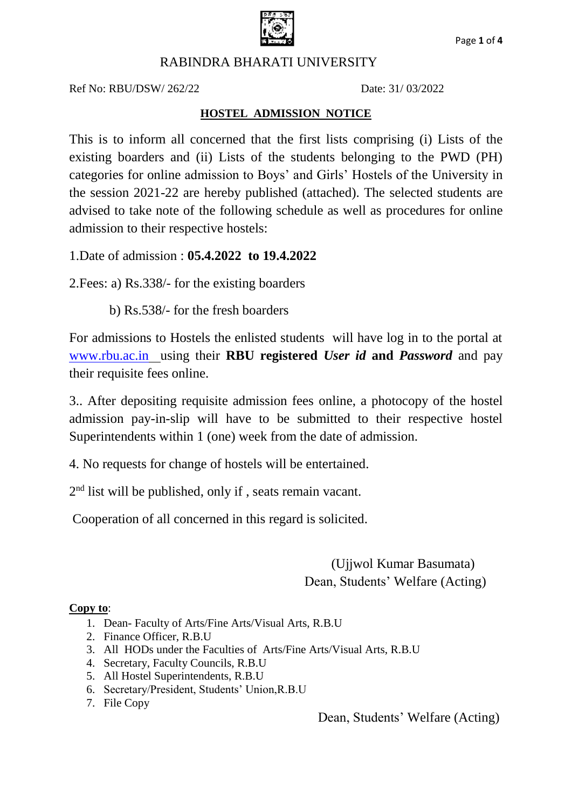

#### RABINDRA BHARATI UNIVERSITY

Ref No: RBU/DSW/ 262/22 Date: 31/ 03/2022

#### **HOSTEL ADMISSION NOTICE**

This is to inform all concerned that the first lists comprising (i) Lists of the existing boarders and (ii) Lists of the students belonging to the PWD (PH) categories for online admission to Boys' and Girls' Hostels of the University in the session 2021-22 are hereby published (attached). The selected students are advised to take note of the following schedule as well as procedures for online admission to their respective hostels:

1.Date of admission : **05.4.2022 to 19.4.2022**

2.Fees: a) Rs.338/- for the existing boarders

b) Rs.538/- for the fresh boarders

For admissions to Hostels the enlisted students will have log in to the portal at [www.rbu.ac.in](http://www.rbu.ac.in/) using their **RBU registered** *User id* **and** *Password* and pay their requisite fees online.

3.. After depositing requisite admission fees online, a photocopy of the hostel admission pay-in-slip will have to be submitted to their respective hostel Superintendents within 1 (one) week from the date of admission.

4. No requests for change of hostels will be entertained.

2<sup>nd</sup> list will be published, only if, seats remain vacant.

Cooperation of all concerned in this regard is solicited.

 (Ujjwol Kumar Basumata) Dean, Students' Welfare (Acting)

#### **Copy to**:

- 1. Dean- Faculty of Arts/Fine Arts/Visual Arts, R.B.U
- 2. Finance Officer, R.B.U
- 3. All HODs under the Faculties of Arts/Fine Arts/Visual Arts, R.B.U
- 4. Secretary, Faculty Councils, R.B.U
- 5. All Hostel Superintendents, R.B.U
- 6. Secretary/President, Students' Union,R.B.U
- 7. File Copy

Dean, Students' Welfare (Acting)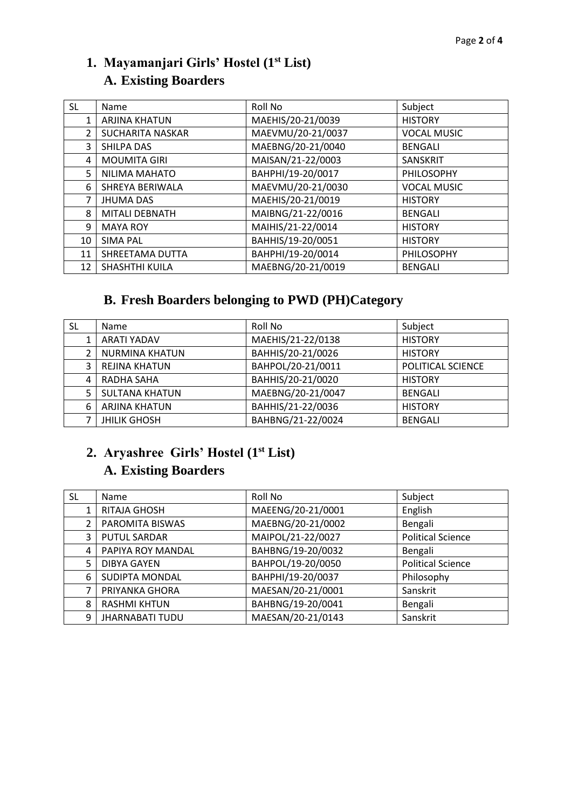## **1. Mayamanjari Girls' Hostel (1st List) A. Existing Boarders**

| <b>SL</b> | Name                    | Roll No           | Subject            |
|-----------|-------------------------|-------------------|--------------------|
| 1         | <b>ARJINA KHATUN</b>    | MAEHIS/20-21/0039 | <b>HISTORY</b>     |
| 2         | <b>SUCHARITA NASKAR</b> | MAEVMU/20-21/0037 | <b>VOCAL MUSIC</b> |
| 3         | <b>SHILPA DAS</b>       | MAEBNG/20-21/0040 | <b>BENGALI</b>     |
| 4         | <b>MOUMITA GIRI</b>     | MAISAN/21-22/0003 | SANSKRIT           |
| 5         | NILIMA MAHATO           | BAHPHI/19-20/0017 | <b>PHILOSOPHY</b>  |
| 6         | SHREYA BERIWALA         | MAEVMU/20-21/0030 | <b>VOCAL MUSIC</b> |
| 7         | <b>JHUMA DAS</b>        | MAEHIS/20-21/0019 | <b>HISTORY</b>     |
| 8         | <b>MITALI DEBNATH</b>   | MAIBNG/21-22/0016 | <b>BENGALI</b>     |
| 9         | <b>MAYA ROY</b>         | MAIHIS/21-22/0014 | <b>HISTORY</b>     |
| 10        | <b>SIMA PAL</b>         | BAHHIS/19-20/0051 | <b>HISTORY</b>     |
| 11        | SHREETAMA DUTTA         | BAHPHI/19-20/0014 | PHILOSOPHY         |
| 12        | SHASHTHI KUILA          | MAEBNG/20-21/0019 | <b>BENGALI</b>     |

### **B. Fresh Boarders belonging to PWD (PH)Category**

| <b>SL</b> | Name                  | Roll No           | Subject           |
|-----------|-----------------------|-------------------|-------------------|
|           | <b>ARATI YADAV</b>    | MAEHIS/21-22/0138 | <b>HISTORY</b>    |
| 2         | <b>NURMINA KHATUN</b> | BAHHIS/20-21/0026 | <b>HISTORY</b>    |
| 3         | <b>REJINA KHATUN</b>  | BAHPOL/20-21/0011 | POLITICAL SCIENCE |
| 4         | RADHA SAHA            | BAHHIS/20-21/0020 | <b>HISTORY</b>    |
| 5         | <b>SULTANA KHATUN</b> | MAEBNG/20-21/0047 | <b>BENGALI</b>    |
| 6         | <b>ARJINA KHATUN</b>  | BAHHIS/21-22/0036 | <b>HISTORY</b>    |
|           | <b>JHILIK GHOSH</b>   | BAHBNG/21-22/0024 | <b>BENGALI</b>    |

## **2. Aryashree Girls' Hostel (1st List) A. Existing Boarders**

| <b>SL</b> | Name                   | Roll No           | Subject                  |
|-----------|------------------------|-------------------|--------------------------|
| 1         | RITAJA GHOSH           | MAEENG/20-21/0001 | English                  |
| 2         | PAROMITA BISWAS        | MAEBNG/20-21/0002 | Bengali                  |
| 3         | <b>PUTUL SARDAR</b>    | MAIPOL/21-22/0027 | <b>Political Science</b> |
| 4         | PAPIYA ROY MANDAL      | BAHBNG/19-20/0032 | Bengali                  |
| 5         | <b>DIBYA GAYEN</b>     | BAHPOL/19-20/0050 | <b>Political Science</b> |
| 6         | <b>SUDIPTA MONDAL</b>  | BAHPHI/19-20/0037 | Philosophy               |
| 7         | PRIYANKA GHORA         | MAESAN/20-21/0001 | Sanskrit                 |
| 8         | <b>RASHMI KHTUN</b>    | BAHBNG/19-20/0041 | Bengali                  |
| 9         | <b>JHARNABATI TUDU</b> | MAESAN/20-21/0143 | Sanskrit                 |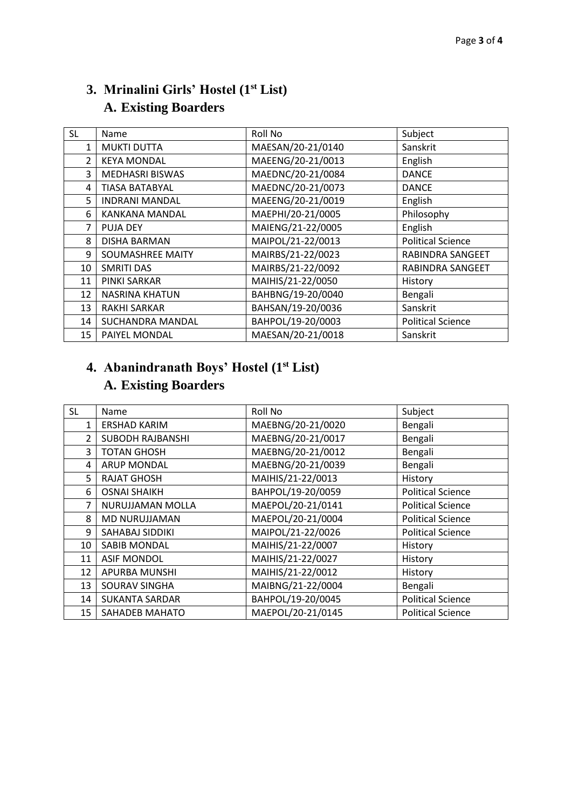# **3. Mrinalini Girls' Hostel (1st List) A. Existing Boarders**

| <b>SL</b> | Name                   | Roll No           | Subject                  |
|-----------|------------------------|-------------------|--------------------------|
| 1         | <b>MUKTI DUTTA</b>     | MAESAN/20-21/0140 | Sanskrit                 |
| 2         | <b>KEYA MONDAL</b>     | MAEENG/20-21/0013 | English                  |
| 3         | <b>MEDHASRI BISWAS</b> | MAEDNC/20-21/0084 | <b>DANCE</b>             |
| 4         | <b>TIASA BATABYAL</b>  | MAEDNC/20-21/0073 | <b>DANCE</b>             |
| 5         | <b>INDRANI MANDAL</b>  | MAEENG/20-21/0019 | English                  |
| 6         | <b>KANKANA MANDAL</b>  | MAEPHI/20-21/0005 | Philosophy               |
| 7         | <b>PUJA DEY</b>        | MAIENG/21-22/0005 | English                  |
| 8         | <b>DISHA BARMAN</b>    | MAIPOL/21-22/0013 | <b>Political Science</b> |
| 9         | SOUMASHREE MAITY       | MAIRBS/21-22/0023 | RABINDRA SANGEET         |
| 10        | <b>SMRITI DAS</b>      | MAIRBS/21-22/0092 | RABINDRA SANGEET         |
| 11        | PINKI SARKAR           | MAIHIS/21-22/0050 | History                  |
| 12        | <b>NASRINA KHATUN</b>  | BAHBNG/19-20/0040 | Bengali                  |
| 13        | <b>RAKHI SARKAR</b>    | BAHSAN/19-20/0036 | Sanskrit                 |
| 14        | SUCHANDRA MANDAL       | BAHPOL/19-20/0003 | <b>Political Science</b> |
| 15        | PAIYEL MONDAL          | MAESAN/20-21/0018 | Sanskrit                 |

# **4. Abanindranath Boys' Hostel (1st List) A. Existing Boarders**

| <b>SL</b>      | Name                    | Roll No           | Subject                  |
|----------------|-------------------------|-------------------|--------------------------|
| 1              | <b>ERSHAD KARIM</b>     | MAEBNG/20-21/0020 | Bengali                  |
| $\overline{2}$ | <b>SUBODH RAJBANSHI</b> | MAEBNG/20-21/0017 | Bengali                  |
| 3              | <b>TOTAN GHOSH</b>      | MAEBNG/20-21/0012 | Bengali                  |
| 4              | <b>ARUP MONDAL</b>      | MAEBNG/20-21/0039 | Bengali                  |
| 5              | <b>RAJAT GHOSH</b>      | MAIHIS/21-22/0013 | History                  |
| 6              | <b>OSNAI SHAIKH</b>     | BAHPOL/19-20/0059 | <b>Political Science</b> |
| $\overline{7}$ | NURUJJAMAN MOLLA        | MAEPOL/20-21/0141 | <b>Political Science</b> |
| 8              | MD NURUJJAMAN           | MAEPOL/20-21/0004 | <b>Political Science</b> |
| 9              | SAHABAJ SIDDIKI         | MAIPOL/21-22/0026 | <b>Political Science</b> |
| 10             | <b>SABIB MONDAL</b>     | MAIHIS/21-22/0007 | History                  |
| 11             | <b>ASIF MONDOL</b>      | MAIHIS/21-22/0027 | History                  |
| 12             | APURBA MUNSHI           | MAIHIS/21-22/0012 | History                  |
| 13             | SOURAV SINGHA           | MAIBNG/21-22/0004 | Bengali                  |
| 14             | <b>SUKANTA SARDAR</b>   | BAHPOL/19-20/0045 | <b>Political Science</b> |
| 15             | SAHADEB MAHATO          | MAEPOL/20-21/0145 | <b>Political Science</b> |